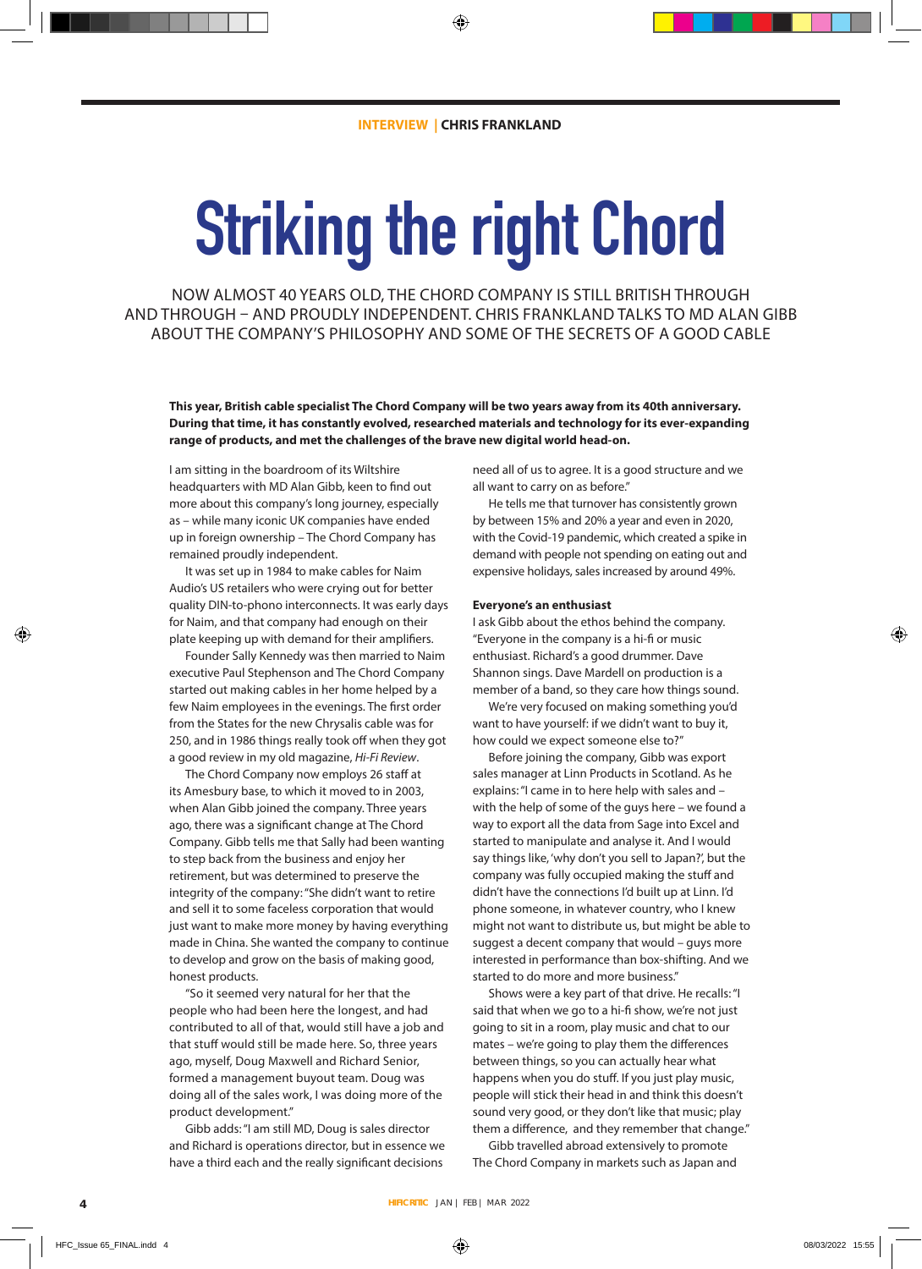## **Striking the right Chord**

NOW ALMOST 40 YEARS OLD, THE CHORD COMPANY IS STILL BRITISH THROUGH AND THROUGH – AND PROUDLY INDEPENDENT. CHRIS FRANKLAND TALKS TO MD ALAN GIBB ABOUT THE COMPANY'S PHILOSOPHY AND SOME OF THE SECRETS OF A GOOD CABLE

**This year, British cable specialist The Chord Company will be two years away from its 40th anniversary. During that time, it has constantly evolved, researched materials and technology for its ever-expanding range of products, and met the challenges of the brave new digital world head-on.**

I am sitting in the boardroom of its Wiltshire headquarters with MD Alan Gibb, keen to find out more about this company's long journey, especially as – while many iconic UK companies have ended up in foreign ownership – The Chord Company has remained proudly independent.

It was set up in 1984 to make cables for Naim Audio's US retailers who were crying out for better quality DIN-to-phono interconnects. It was early days for Naim, and that company had enough on their plate keeping up with demand for their amplifiers.

Founder Sally Kennedy was then married to Naim executive Paul Stephenson and The Chord Company started out making cables in her home helped by a few Naim employees in the evenings. The first order from the States for the new Chrysalis cable was for 250, and in 1986 things really took off when they got a good review in my old magazine, *Hi-Fi Review*.

The Chord Company now employs 26 staff at its Amesbury base, to which it moved to in 2003, when Alan Gibb joined the company. Three years ago, there was a significant change at The Chord Company. Gibb tells me that Sally had been wanting to step back from the business and enjoy her retirement, but was determined to preserve the integrity of the company: "She didn't want to retire and sell it to some faceless corporation that would just want to make more money by having everything made in China. She wanted the company to continue to develop and grow on the basis of making good, honest products.

"So it seemed very natural for her that the people who had been here the longest, and had contributed to all of that, would still have a job and that stuff would still be made here. So, three years ago, myself, Doug Maxwell and Richard Senior, formed a management buyout team. Doug was doing all of the sales work, I was doing more of the product development."

Gibb adds: "I am still MD, Doug is sales director and Richard is operations director, but in essence we have a third each and the really significant decisions

need all of us to agree. It is a good structure and we all want to carry on as before."

He tells me that turnover has consistently grown by between 15% and 20% a year and even in 2020, with the Covid-19 pandemic, which created a spike in demand with people not spending on eating out and expensive holidays, sales increased by around 49%.

## **Everyone's an enthusiast**

I ask Gibb about the ethos behind the company. "Everyone in the company is a hi-fi or music enthusiast. Richard's a good drummer. Dave Shannon sings. Dave Mardell on production is a member of a band, so they care how things sound.

We're very focused on making something you'd want to have yourself: if we didn't want to buy it, how could we expect someone else to?"

Before joining the company, Gibb was export sales manager at Linn Products in Scotland. As he explains: "I came in to here help with sales and – with the help of some of the guys here – we found a way to export all the data from Sage into Excel and started to manipulate and analyse it. And I would say things like, 'why don't you sell to Japan?', but the company was fully occupied making the stuff and didn't have the connections I'd built up at Linn. I'd phone someone, in whatever country, who I knew might not want to distribute us, but might be able to suggest a decent company that would – guys more interested in performance than box-shifting. And we started to do more and more business."

Shows were a key part of that drive. He recalls: "I said that when we go to a hi-fi show, we're not just going to sit in a room, play music and chat to our mates – we're going to play them the differences between things, so you can actually hear what happens when you do stuff. If you just play music, people will stick their head in and think this doesn't sound very good, or they don't like that music; play them a difference, and they remember that change."

Gibb travelled abroad extensively to promote The Chord Company in markets such as Japan and